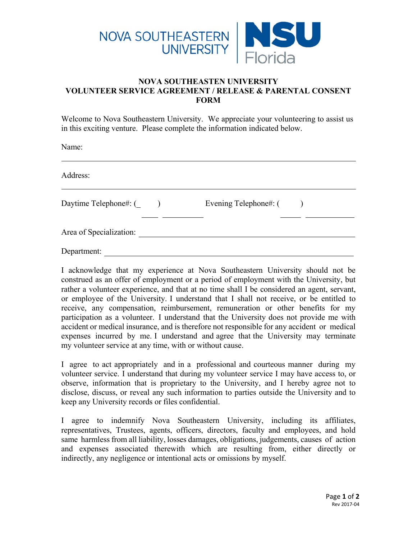

## **NOVA SOUTHEASTEN UNIVERSITY VOLUNTEER SERVICE AGREEMENT / RELEASE & PARENTAL CONSENT FORM**

Welcome to Nova Southeastern University. We appreciate your volunteering to assist us in this exciting venture. Please complete the information indicated below.

 $\overline{a}$  and  $\overline{a}$  and  $\overline{a}$ 

Name:

Address:

Daytime Telephone#: ( ) Evening Telephone#: ( )

 $\overline{\phantom{0}}$ 

Area of Specialization:

Department:

I acknowledge that my experience at Nova Southeastern University should not be construed as an offer of employment or a period of employment with the University, but rather a volunteer experience, and that at no time shall I be considered an agent, servant, or employee of the University. I understand that I shall not receive, or be entitled to receive, any compensation, reimbursement, remuneration or other benefits for my participation as a volunteer. I understand that the University does not provide me with accident or medical insurance, and is therefore not responsible for any accident or medical expenses incurred by me. I understand and agree that the University may terminate my volunteer service at any time, with or without cause.

I agree to act appropriately and in a professional and courteous manner during my volunteer service. I understand that during my volunteer service I may have access to, or observe, information that is proprietary to the University, and I hereby agree not to disclose, discuss, or reveal any such information to parties outside the University and to keep any University records or files confidential.

I agree to indemnify Nova Southeastern University, including its affiliates, representatives, Trustees, agents, officers, directors, faculty and employees, and hold same harmless from all liability, losses damages, obligations, judgements, causes of action and expenses associated therewith which are resulting from, either directly or indirectly, any negligence or intentional acts or omissions by myself.